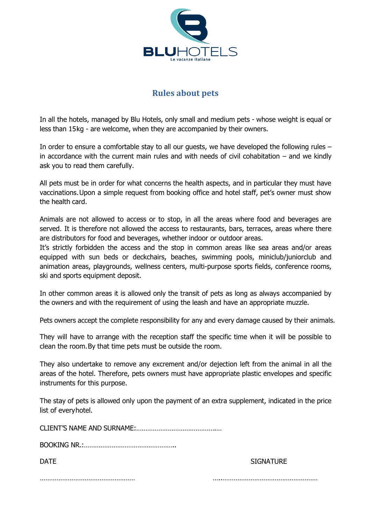

## **Rules about pets**

In all the hotels, managed by Blu Hotels, only small and medium pets - whose weight is equal or less than 15kg - are welcome, when they are accompanied by their owners.

In order to ensure a comfortable stay to all our guests, we have developed the following rules – in accordance with the current main rules and with needs of civil cohabitation – and we kindly ask you to read them carefully.

All pets must be in order for what concerns the health aspects, and in particular they must have vaccinations.Upon a simple request from booking office and hotel staff, pet's owner must show the health card.

Animals are not allowed to access or to stop, in all the areas where food and beverages are served. It is therefore not allowed the access to restaurants, bars, terraces, areas where there are distributors for food and beverages, whether indoor or outdoor areas.

It's strictly forbidden the access and the stop in common areas like sea areas and/or areas equipped with sun beds or deckchairs, beaches, swimming pools, miniclub/juniorclub and animation areas, playgrounds, wellness centers, multi-purpose sports fields, conference rooms, ski and sports equipment deposit.

In other common areas it is allowed only the transit of pets as long as always accompanied by the owners and with the requirement of using the leash and have an appropriate muzzle.

Pets owners accept the complete responsibility for any and every damage caused by their animals.

They will have to arrange with the reception staff the specific time when it will be possible to clean the room.By that time pets must be outside the room.

They also undertake to remove any excrement and/or dejection left from the animal in all the areas of the hotel. Therefore, pets owners must have appropriate plastic envelopes and specific instruments for this purpose.

The stay of pets is allowed only upon the payment of an extra supplement, indicated in the price list of everyhotel.

CLIENT'S NAME AND SURNAME:…………………………………….…

BOOKING NR.:…………………………………………..

DATE SIGNATURE SERVICES IN THE SERVICE SERVICE SERVICE SERVICE SERVICE SERVICE SERVICE SERVICE SERVICE SERVICE

…………………………………………… …..……………………………………………